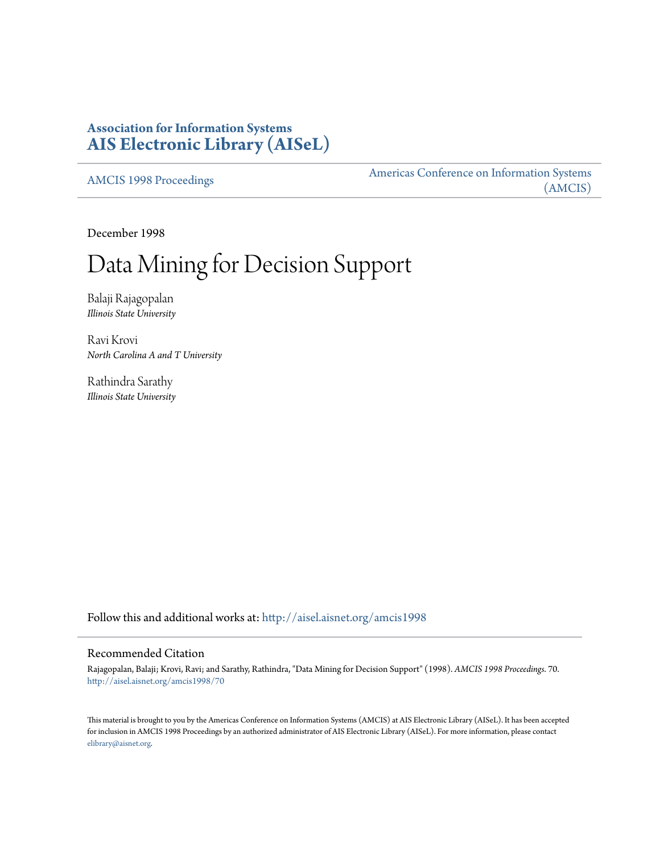## **Association for Information Systems [AIS Electronic Library \(AISeL\)](http://aisel.aisnet.org?utm_source=aisel.aisnet.org%2Famcis1998%2F70&utm_medium=PDF&utm_campaign=PDFCoverPages)**

[AMCIS 1998 Proceedings](http://aisel.aisnet.org/amcis1998?utm_source=aisel.aisnet.org%2Famcis1998%2F70&utm_medium=PDF&utm_campaign=PDFCoverPages)

[Americas Conference on Information Systems](http://aisel.aisnet.org/amcis?utm_source=aisel.aisnet.org%2Famcis1998%2F70&utm_medium=PDF&utm_campaign=PDFCoverPages) [\(AMCIS\)](http://aisel.aisnet.org/amcis?utm_source=aisel.aisnet.org%2Famcis1998%2F70&utm_medium=PDF&utm_campaign=PDFCoverPages)

December 1998

# Data Mining for Decision Support

Balaji Rajagopalan *Illinois State University*

Ravi Krovi *North Carolina A and T University*

Rathindra Sarathy *Illinois State University*

Follow this and additional works at: [http://aisel.aisnet.org/amcis1998](http://aisel.aisnet.org/amcis1998?utm_source=aisel.aisnet.org%2Famcis1998%2F70&utm_medium=PDF&utm_campaign=PDFCoverPages)

#### Recommended Citation

Rajagopalan, Balaji; Krovi, Ravi; and Sarathy, Rathindra, "Data Mining for Decision Support" (1998). *AMCIS 1998 Proceedings*. 70. [http://aisel.aisnet.org/amcis1998/70](http://aisel.aisnet.org/amcis1998/70?utm_source=aisel.aisnet.org%2Famcis1998%2F70&utm_medium=PDF&utm_campaign=PDFCoverPages)

This material is brought to you by the Americas Conference on Information Systems (AMCIS) at AIS Electronic Library (AISeL). It has been accepted for inclusion in AMCIS 1998 Proceedings by an authorized administrator of AIS Electronic Library (AISeL). For more information, please contact [elibrary@aisnet.org.](mailto:elibrary@aisnet.org%3E)